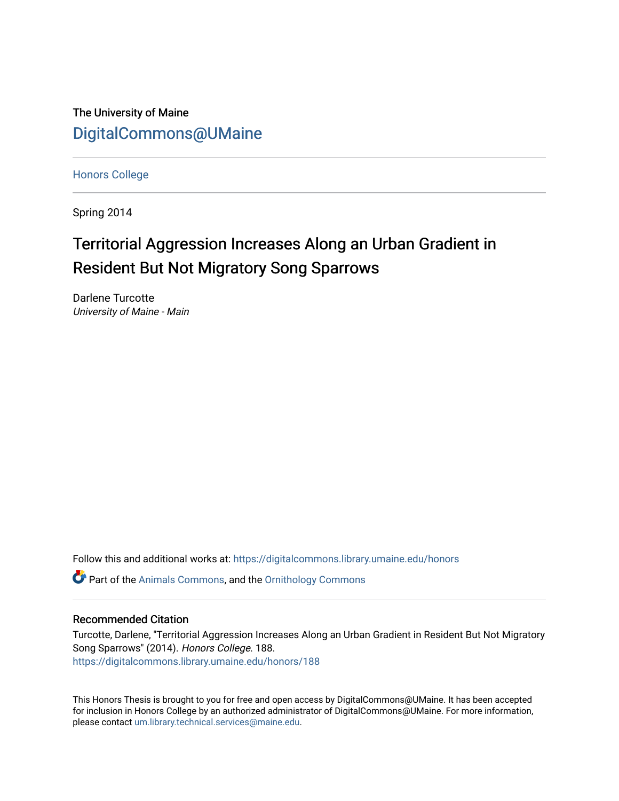The University of Maine [DigitalCommons@UMaine](https://digitalcommons.library.umaine.edu/)

[Honors College](https://digitalcommons.library.umaine.edu/honors)

Spring 2014

# Territorial Aggression Increases Along an Urban Gradient in Resident But Not Migratory Song Sparrows

Darlene Turcotte University of Maine - Main

Follow this and additional works at: [https://digitalcommons.library.umaine.edu/honors](https://digitalcommons.library.umaine.edu/honors?utm_source=digitalcommons.library.umaine.edu%2Fhonors%2F188&utm_medium=PDF&utm_campaign=PDFCoverPages) 

Part of the [Animals Commons](http://network.bepress.com/hgg/discipline/1006?utm_source=digitalcommons.library.umaine.edu%2Fhonors%2F188&utm_medium=PDF&utm_campaign=PDFCoverPages), and the [Ornithology Commons](http://network.bepress.com/hgg/discipline/1190?utm_source=digitalcommons.library.umaine.edu%2Fhonors%2F188&utm_medium=PDF&utm_campaign=PDFCoverPages) 

## Recommended Citation

Turcotte, Darlene, "Territorial Aggression Increases Along an Urban Gradient in Resident But Not Migratory Song Sparrows" (2014). Honors College. 188. [https://digitalcommons.library.umaine.edu/honors/188](https://digitalcommons.library.umaine.edu/honors/188?utm_source=digitalcommons.library.umaine.edu%2Fhonors%2F188&utm_medium=PDF&utm_campaign=PDFCoverPages) 

This Honors Thesis is brought to you for free and open access by DigitalCommons@UMaine. It has been accepted for inclusion in Honors College by an authorized administrator of DigitalCommons@UMaine. For more information, please contact [um.library.technical.services@maine.edu.](mailto:um.library.technical.services@maine.edu)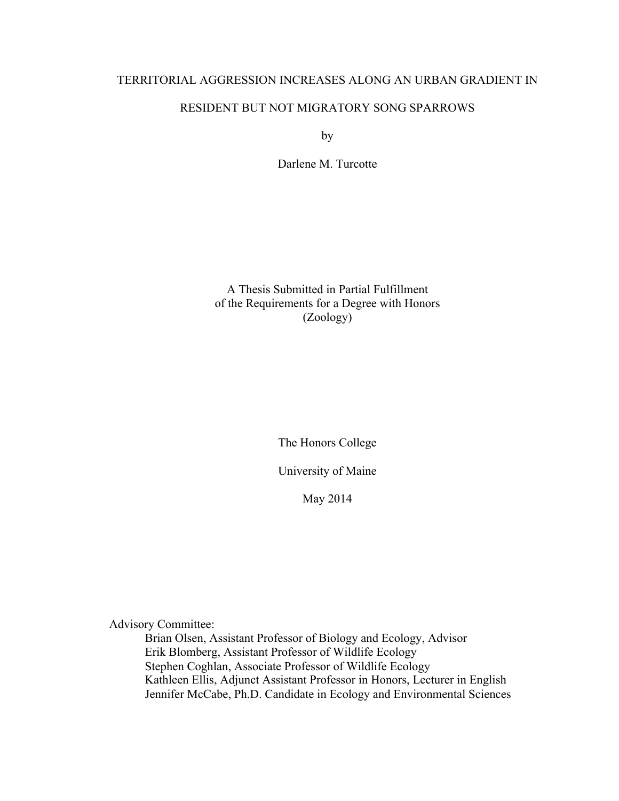## TERRITORIAL AGGRESSION INCREASES ALONG AN URBAN GRADIENT IN

## RESIDENT BUT NOT MIGRATORY SONG SPARROWS

by

Darlene M. Turcotte

A Thesis Submitted in Partial Fulfillment of the Requirements for a Degree with Honors (Zoology)

The Honors College

University of Maine

May 2014

Advisory Committee:

Brian Olsen, Assistant Professor of Biology and Ecology, Advisor Erik Blomberg, Assistant Professor of Wildlife Ecology Stephen Coghlan, Associate Professor of Wildlife Ecology Kathleen Ellis, Adjunct Assistant Professor in Honors, Lecturer in English Jennifer McCabe, Ph.D. Candidate in Ecology and Environmental Sciences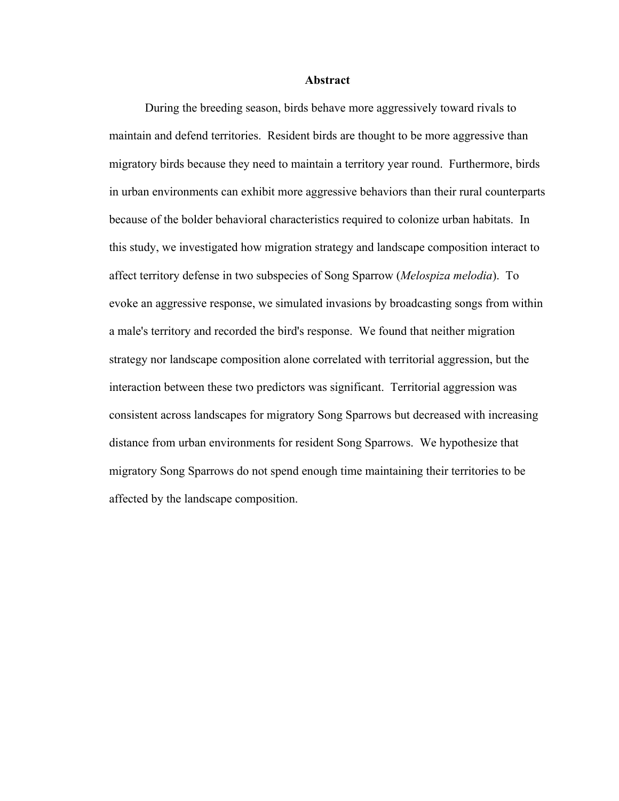#### **Abstract**

During the breeding season, birds behave more aggressively toward rivals to maintain and defend territories. Resident birds are thought to be more aggressive than migratory birds because they need to maintain a territory year round. Furthermore, birds in urban environments can exhibit more aggressive behaviors than their rural counterparts because of the bolder behavioral characteristics required to colonize urban habitats. In this study, we investigated how migration strategy and landscape composition interact to affect territory defense in two subspecies of Song Sparrow (*Melospiza melodia*). To evoke an aggressive response, we simulated invasions by broadcasting songs from within a male's territory and recorded the bird's response. We found that neither migration strategy nor landscape composition alone correlated with territorial aggression, but the interaction between these two predictors was significant. Territorial aggression was consistent across landscapes for migratory Song Sparrows but decreased with increasing distance from urban environments for resident Song Sparrows. We hypothesize that migratory Song Sparrows do not spend enough time maintaining their territories to be affected by the landscape composition.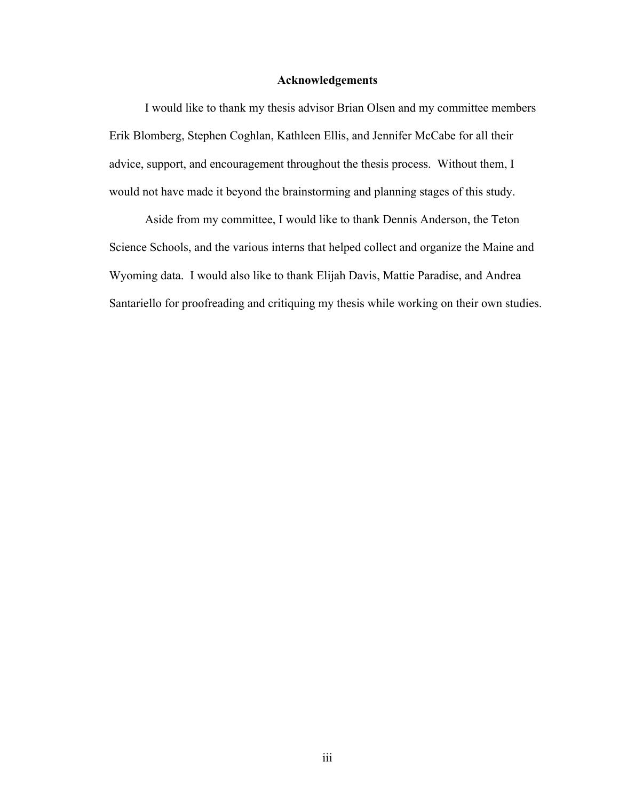## **Acknowledgements**

I would like to thank my thesis advisor Brian Olsen and my committee members Erik Blomberg, Stephen Coghlan, Kathleen Ellis, and Jennifer McCabe for all their advice, support, and encouragement throughout the thesis process. Without them, I would not have made it beyond the brainstorming and planning stages of this study.

Aside from my committee, I would like to thank Dennis Anderson, the Teton Science Schools, and the various interns that helped collect and organize the Maine and Wyoming data. I would also like to thank Elijah Davis, Mattie Paradise, and Andrea Santariello for proofreading and critiquing my thesis while working on their own studies.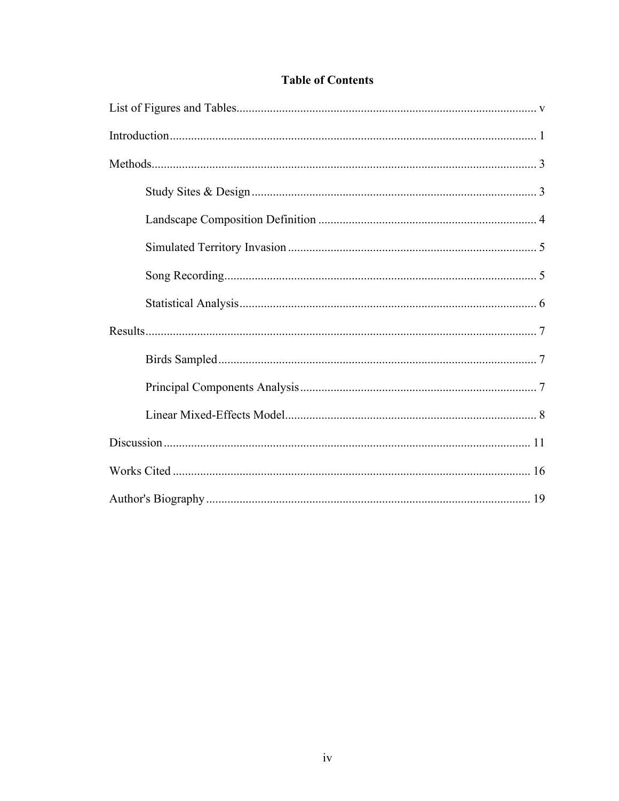## **Table of Contents**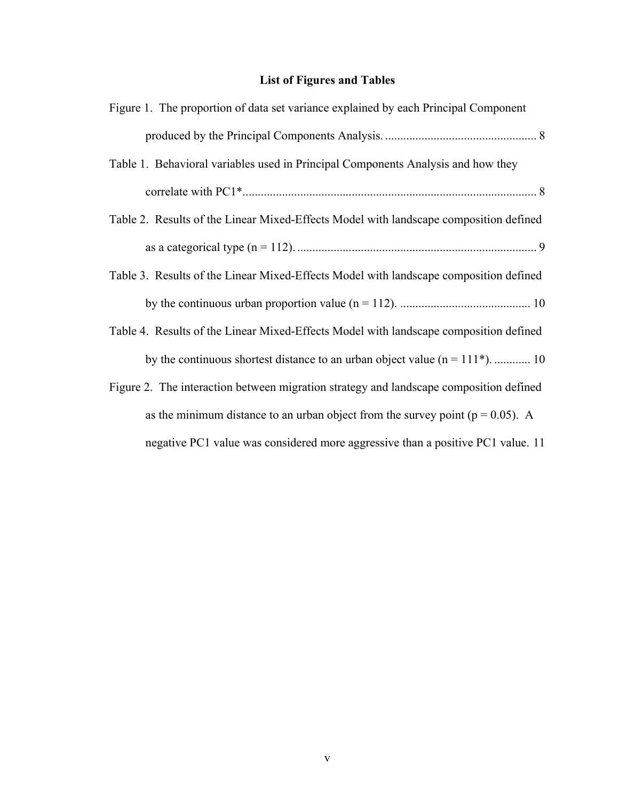## **List of Figures and Tables**

| Figure 1. The proportion of data set variance explained by each Principal Component    |
|----------------------------------------------------------------------------------------|
|                                                                                        |
| Table 1. Behavioral variables used in Principal Components Analysis and how they       |
|                                                                                        |
| Table 2. Results of the Linear Mixed-Effects Model with landscape composition defined  |
|                                                                                        |
| Table 3. Results of the Linear Mixed-Effects Model with landscape composition defined  |
|                                                                                        |
| Table 4. Results of the Linear Mixed-Effects Model with landscape composition defined  |
| by the continuous shortest distance to an urban object value $(n = 111^*)$ 10          |
| Figure 2. The interaction between migration strategy and landscape composition defined |
| as the minimum distance to an urban object from the survey point ( $p = 0.05$ ). A     |
| negative PC1 value was considered more aggressive than a positive PC1 value. 11        |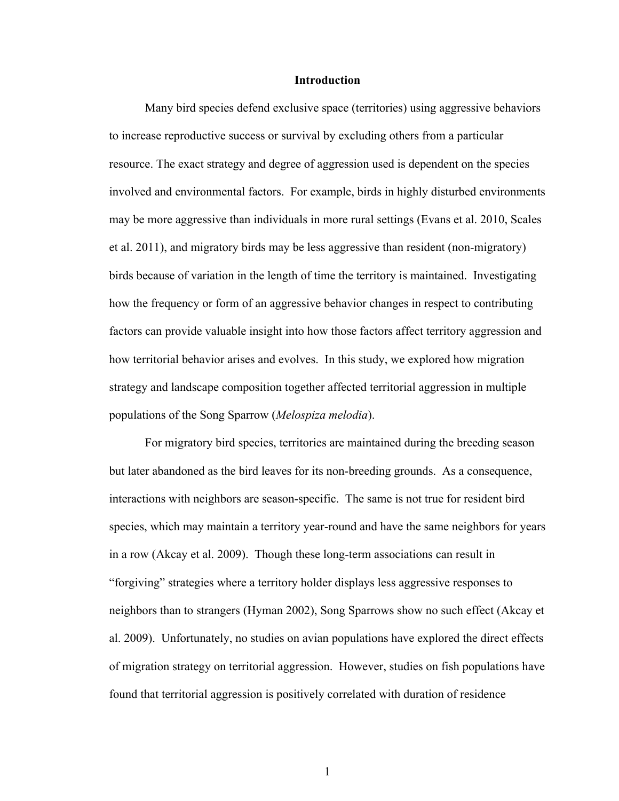## **Introduction**

Many bird species defend exclusive space (territories) using aggressive behaviors to increase reproductive success or survival by excluding others from a particular resource. The exact strategy and degree of aggression used is dependent on the species involved and environmental factors. For example, birds in highly disturbed environments may be more aggressive than individuals in more rural settings (Evans et al. 2010, Scales et al. 2011), and migratory birds may be less aggressive than resident (non-migratory) birds because of variation in the length of time the territory is maintained. Investigating how the frequency or form of an aggressive behavior changes in respect to contributing factors can provide valuable insight into how those factors affect territory aggression and how territorial behavior arises and evolves. In this study, we explored how migration strategy and landscape composition together affected territorial aggression in multiple populations of the Song Sparrow (*Melospiza melodia*).

For migratory bird species, territories are maintained during the breeding season but later abandoned as the bird leaves for its non-breeding grounds. As a consequence, interactions with neighbors are season-specific. The same is not true for resident bird species, which may maintain a territory year-round and have the same neighbors for years in a row (Akcay et al. 2009). Though these long-term associations can result in "forgiving" strategies where a territory holder displays less aggressive responses to neighbors than to strangers (Hyman 2002), Song Sparrows show no such effect (Akcay et al. 2009). Unfortunately, no studies on avian populations have explored the direct effects of migration strategy on territorial aggression. However, studies on fish populations have found that territorial aggression is positively correlated with duration of residence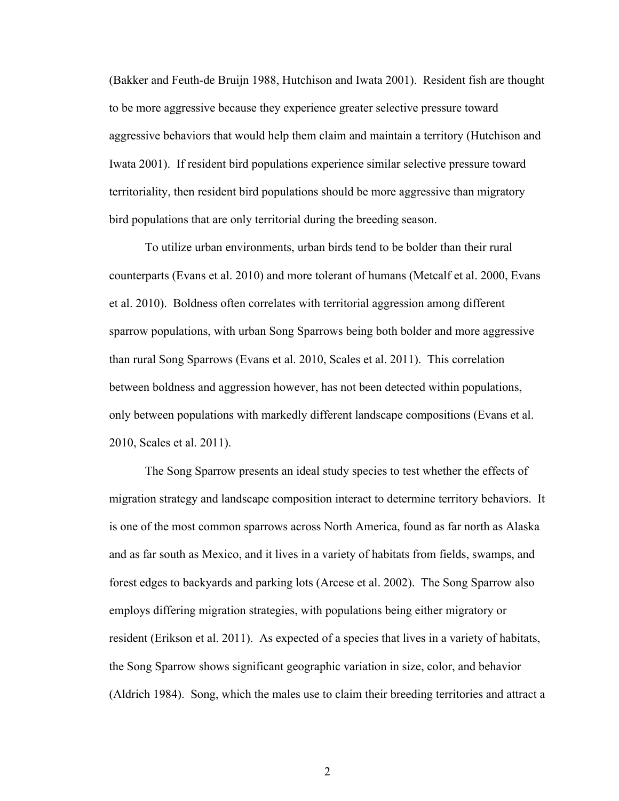(Bakker and Feuth-de Bruijn 1988, Hutchison and Iwata 2001). Resident fish are thought to be more aggressive because they experience greater selective pressure toward aggressive behaviors that would help them claim and maintain a territory (Hutchison and Iwata 2001). If resident bird populations experience similar selective pressure toward territoriality, then resident bird populations should be more aggressive than migratory bird populations that are only territorial during the breeding season.

To utilize urban environments, urban birds tend to be bolder than their rural counterparts (Evans et al. 2010) and more tolerant of humans (Metcalf et al. 2000, Evans et al. 2010).Boldness often correlates with territorial aggression among different sparrow populations, with urban Song Sparrows being both bolder and more aggressive than rural Song Sparrows (Evans et al. 2010, Scales et al. 2011). This correlation between boldness and aggression however, has not been detected within populations, only between populations with markedly different landscape compositions (Evans et al. 2010, Scales et al. 2011).

The Song Sparrow presents an ideal study species to test whether the effects of migration strategy and landscape composition interact to determine territory behaviors. It is one of the most common sparrows across North America, found as far north as Alaska and as far south as Mexico, and it lives in a variety of habitats from fields, swamps, and forest edges to backyards and parking lots (Arcese et al. 2002). The Song Sparrow also employs differing migration strategies, with populations being either migratory or resident (Erikson et al. 2011). As expected of a species that lives in a variety of habitats, the Song Sparrow shows significant geographic variation in size, color, and behavior (Aldrich 1984). Song, which the males use to claim their breeding territories and attract a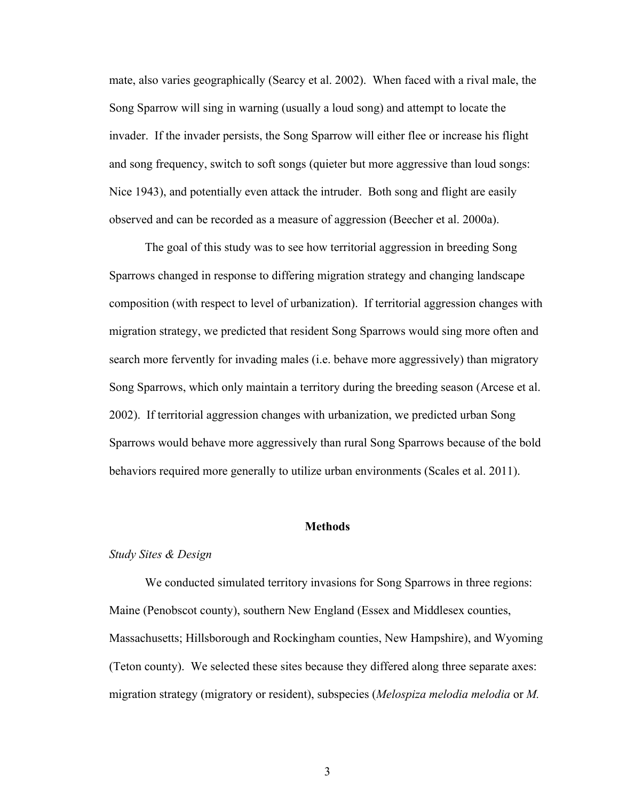mate, also varies geographically (Searcy et al. 2002). When faced with a rival male, the Song Sparrow will sing in warning (usually a loud song) and attempt to locate the invader. If the invader persists, the Song Sparrow will either flee or increase his flight and song frequency, switch to soft songs (quieter but more aggressive than loud songs: Nice 1943), and potentially even attack the intruder. Both song and flight are easily observed and can be recorded as a measure of aggression (Beecher et al. 2000a).

The goal of this study was to see how territorial aggression in breeding Song Sparrows changed in response to differing migration strategy and changing landscape composition (with respect to level of urbanization). If territorial aggression changes with migration strategy, we predicted that resident Song Sparrows would sing more often and search more fervently for invading males (i.e. behave more aggressively) than migratory Song Sparrows, which only maintain a territory during the breeding season (Arcese et al. 2002). If territorial aggression changes with urbanization, we predicted urban Song Sparrows would behave more aggressively than rural Song Sparrows because of the bold behaviors required more generally to utilize urban environments (Scales et al. 2011).

## **Methods**

#### *Study Sites & Design*

We conducted simulated territory invasions for Song Sparrows in three regions: Maine (Penobscot county), southern New England (Essex and Middlesex counties, Massachusetts; Hillsborough and Rockingham counties, New Hampshire), and Wyoming (Teton county). We selected these sites because they differed along three separate axes: migration strategy (migratory or resident), subspecies (*Melospiza melodia melodia* or *M.*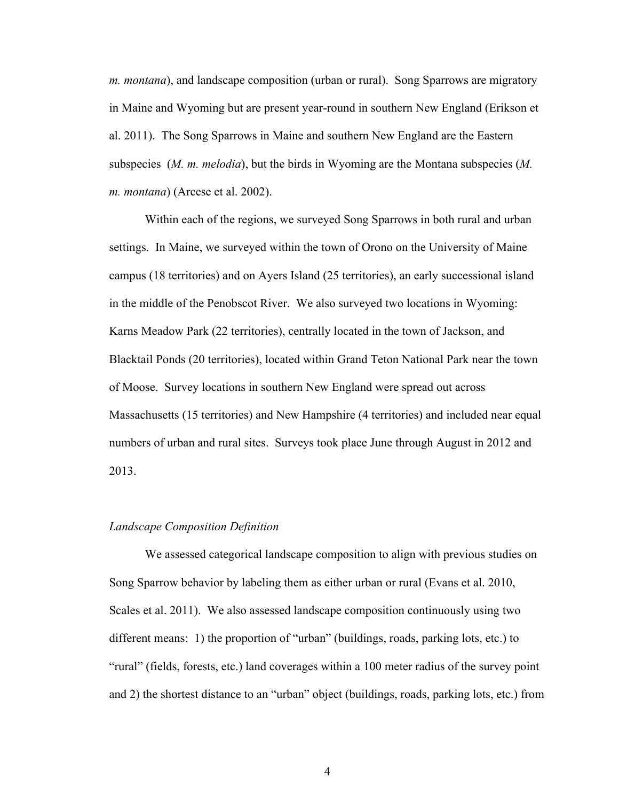*m. montana*), and landscape composition (urban or rural). Song Sparrows are migratory in Maine and Wyoming but are present year-round in southern New England (Erikson et al. 2011). The Song Sparrows in Maine and southern New England are the Eastern subspecies (*M. m. melodia*), but the birds in Wyoming are the Montana subspecies (*M. m. montana*) (Arcese et al. 2002).

Within each of the regions, we surveyed Song Sparrows in both rural and urban settings. In Maine, we surveyed within the town of Orono on the University of Maine campus (18 territories) and on Ayers Island (25 territories), an early successional island in the middle of the Penobscot River. We also surveyed two locations in Wyoming: Karns Meadow Park (22 territories), centrally located in the town of Jackson, and Blacktail Ponds (20 territories), located within Grand Teton National Park near the town of Moose. Survey locations in southern New England were spread out across Massachusetts (15 territories) and New Hampshire (4 territories) and included near equal numbers of urban and rural sites. Surveys took place June through August in 2012 and 2013.

## *Landscape Composition Definition*

We assessed categorical landscape composition to align with previous studies on Song Sparrow behavior by labeling them as either urban or rural (Evans et al. 2010, Scales et al. 2011). We also assessed landscape composition continuously using two different means: 1) the proportion of "urban" (buildings, roads, parking lots, etc.) to "rural" (fields, forests, etc.) land coverages within a 100 meter radius of the survey point and 2) the shortest distance to an "urban" object (buildings, roads, parking lots, etc.) from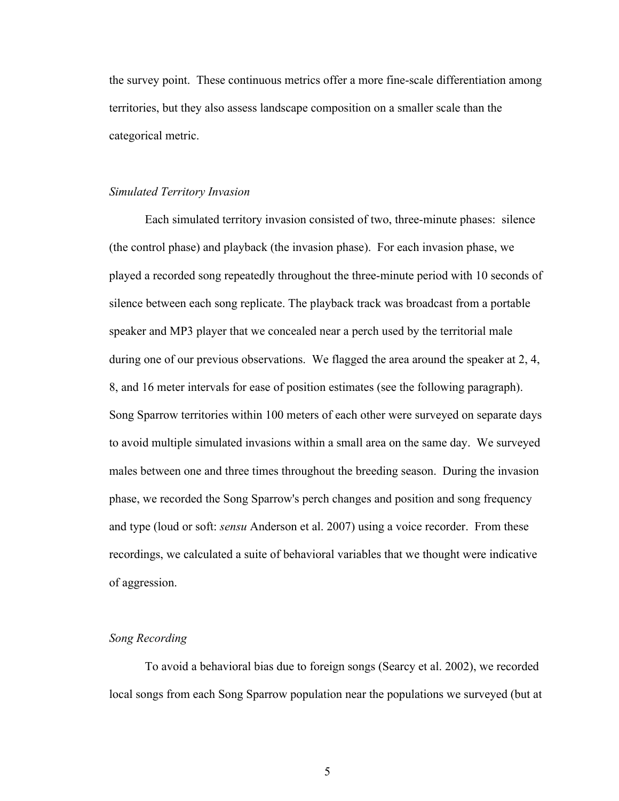the survey point. These continuous metrics offer a more fine-scale differentiation among territories, but they also assess landscape composition on a smaller scale than the categorical metric.

## *Simulated Territory Invasion*

Each simulated territory invasion consisted of two, three-minute phases: silence (the control phase) and playback (the invasion phase). For each invasion phase, we played a recorded song repeatedly throughout the three-minute period with 10 seconds of silence between each song replicate. The playback track was broadcast from a portable speaker and MP3 player that we concealed near a perch used by the territorial male during one of our previous observations. We flagged the area around the speaker at 2, 4, 8, and 16 meter intervals for ease of position estimates (see the following paragraph). Song Sparrow territories within 100 meters of each other were surveyed on separate days to avoid multiple simulated invasions within a small area on the same day. We surveyed males between one and three times throughout the breeding season. During the invasion phase, we recorded the Song Sparrow's perch changes and position and song frequency and type (loud or soft: *sensu* Anderson et al. 2007) using a voice recorder. From these recordings, we calculated a suite of behavioral variables that we thought were indicative of aggression.

## *Song Recording*

To avoid a behavioral bias due to foreign songs (Searcy et al. 2002), we recorded local songs from each Song Sparrow population near the populations we surveyed (but at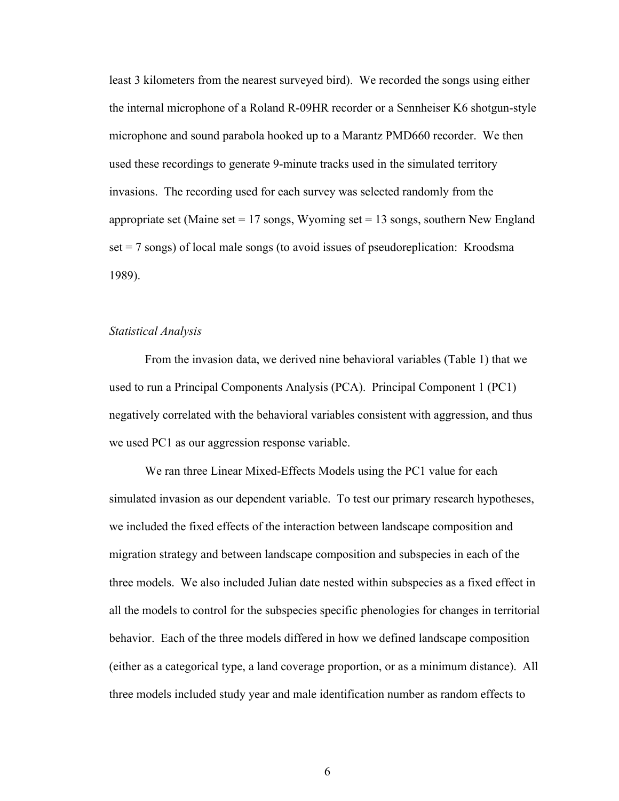least 3 kilometers from the nearest surveyed bird). We recorded the songs using either the internal microphone of a Roland R-09HR recorder or a Sennheiser K6 shotgun-style microphone and sound parabola hooked up to a Marantz PMD660 recorder. We then used these recordings to generate 9-minute tracks used in the simulated territory invasions. The recording used for each survey was selected randomly from the appropriate set (Maine set  $= 17$  songs, Wyoming set  $= 13$  songs, southern New England set = 7 songs) of local male songs (to avoid issues of pseudoreplication: Kroodsma 1989).

## *Statistical Analysis*

From the invasion data, we derived nine behavioral variables (Table 1) that we used to run a Principal Components Analysis (PCA). Principal Component 1 (PC1) negatively correlated with the behavioral variables consistent with aggression, and thus we used PC1 as our aggression response variable.

We ran three Linear Mixed-Effects Models using the PC1 value for each simulated invasion as our dependent variable. To test our primary research hypotheses, we included the fixed effects of the interaction between landscape composition and migration strategy and between landscape composition and subspecies in each of the three models. We also included Julian date nested within subspecies as a fixed effect in all the models to control for the subspecies specific phenologies for changes in territorial behavior. Each of the three models differed in how we defined landscape composition (either as a categorical type, a land coverage proportion, or as a minimum distance). All three models included study year and male identification number as random effects to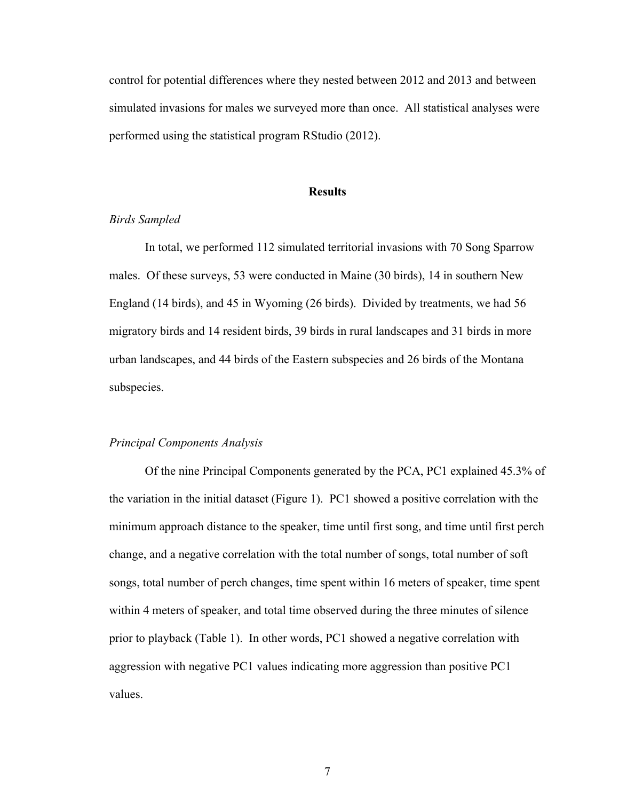control for potential differences where they nested between 2012 and 2013 and between simulated invasions for males we surveyed more than once. All statistical analyses were performed using the statistical program RStudio (2012).

## **Results**

## *Birds Sampled*

In total, we performed 112 simulated territorial invasions with 70 Song Sparrow males. Of these surveys, 53 were conducted in Maine (30 birds), 14 in southern New England (14 birds), and 45 in Wyoming (26 birds). Divided by treatments, we had 56 migratory birds and 14 resident birds, 39 birds in rural landscapes and 31 birds in more urban landscapes, and 44 birds of the Eastern subspecies and 26 birds of the Montana subspecies.

#### *Principal Components Analysis*

Of the nine Principal Components generated by the PCA, PC1 explained 45.3% of the variation in the initial dataset (Figure 1). PC1 showed a positive correlation with the minimum approach distance to the speaker, time until first song, and time until first perch change, and a negative correlation with the total number of songs, total number of soft songs, total number of perch changes, time spent within 16 meters of speaker, time spent within 4 meters of speaker, and total time observed during the three minutes of silence prior to playback (Table 1). In other words, PC1 showed a negative correlation with aggression with negative PC1 values indicating more aggression than positive PC1 values.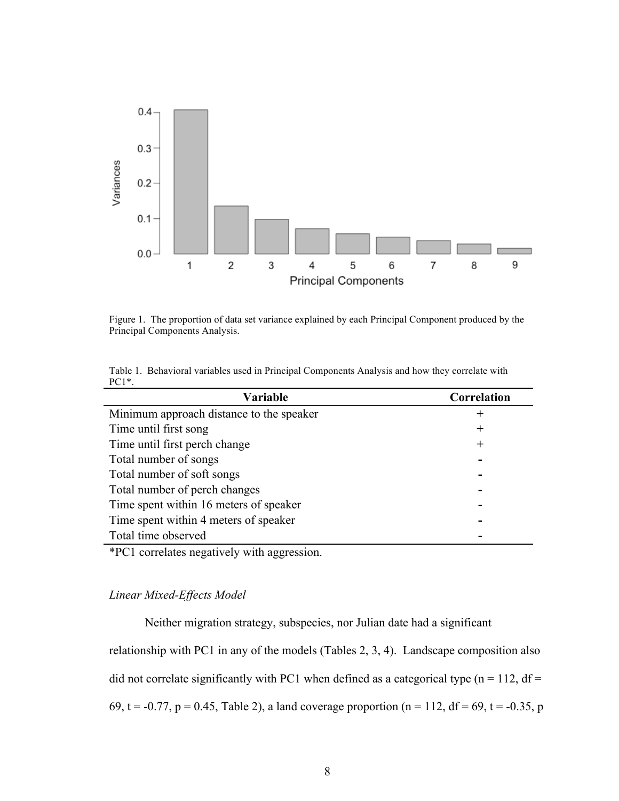

Figure 1. The proportion of data set variance explained by each Principal Component produced by the Principal Components Analysis.

|         | Table 1. Behavioral variables used in Principal Components Analysis and how they correlate with |  |
|---------|-------------------------------------------------------------------------------------------------|--|
| $PC1*.$ |                                                                                                 |  |

| <b>Variable</b>                          | Correlation |
|------------------------------------------|-------------|
| Minimum approach distance to the speaker | ┿           |
| Time until first song                    | $\pm$       |
| Time until first perch change            | $\pm$       |
| Total number of songs                    |             |
| Total number of soft songs               |             |
| Total number of perch changes            |             |
| Time spent within 16 meters of speaker   |             |
| Time spent within 4 meters of speaker    |             |
| Total time observed                      |             |

\*PC1 correlates negatively with aggression.

## *Linear Mixed-Effects Model*

Neither migration strategy, subspecies, nor Julian date had a significant

relationship with PC1 in any of the models (Tables 2, 3, 4). Landscape composition also did not correlate significantly with PC1 when defined as a categorical type ( $n = 112$ , df = 69, t = -0.77, p = 0.45, Table 2), a land coverage proportion (n = 112, df = 69, t = -0.35, p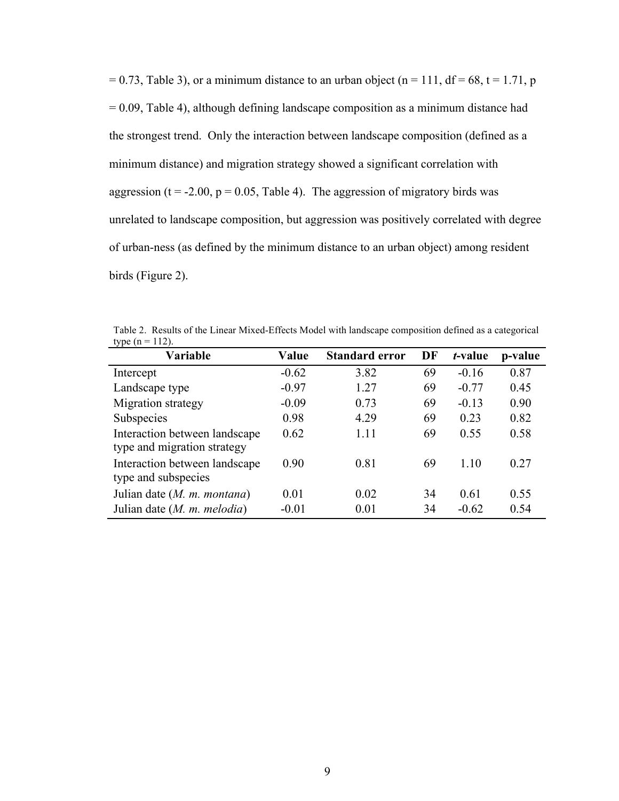$= 0.73$ , Table 3), or a minimum distance to an urban object (n = 111, df = 68, t = 1.71, p  $= 0.09$ , Table 4), although defining landscape composition as a minimum distance had the strongest trend. Only the interaction between landscape composition (defined as a minimum distance) and migration strategy showed a significant correlation with aggression ( $t = -2.00$ ,  $p = 0.05$ , Table 4). The aggression of migratory birds was unrelated to landscape composition, but aggression was positively correlated with degree of urban-ness (as defined by the minimum distance to an urban object) among resident birds (Figure 2).

| type $(n = 112)$ . |         |                                   |    |         |      |  |
|--------------------|---------|-----------------------------------|----|---------|------|--|
| Variable           | Value   | Standard error DF t-value p-value |    |         |      |  |
| Intercept          | $-0.62$ | 3.82                              | 69 | $-0.16$ | 0.87 |  |
| Landscape type     | $-0.97$ | 1.27                              | 69 | $-0.77$ | 0.45 |  |

Table 2. Results of the Linear Mixed-Effects Model with landscape composition defined as a categorical

| Intercept                     | $-0.62$ | 3.82 | 69 | $-0.16$ | 0.87 |
|-------------------------------|---------|------|----|---------|------|
| Landscape type                | $-0.97$ | 1.27 | 69 | $-0.77$ | 0.45 |
| Migration strategy            | $-0.09$ | 0.73 | 69 | $-0.13$ | 0.90 |
| Subspecies                    | 0.98    | 4.29 | 69 | 0.23    | 0.82 |
| Interaction between landscape | 0.62    | 1.11 | 69 | 0.55    | 0.58 |
| type and migration strategy   |         |      |    |         |      |
| Interaction between landscape | 0.90    | 0.81 | 69 | 1.10    | 0.27 |
| type and subspecies           |         |      |    |         |      |
| Julian date (M. m. montana)   | 0.01    | 0.02 | 34 | 0.61    | 0.55 |
| Julian date (M. m. melodia)   | $-0.01$ | 0.01 | 34 | $-0.62$ | 0.54 |
|                               |         |      |    |         |      |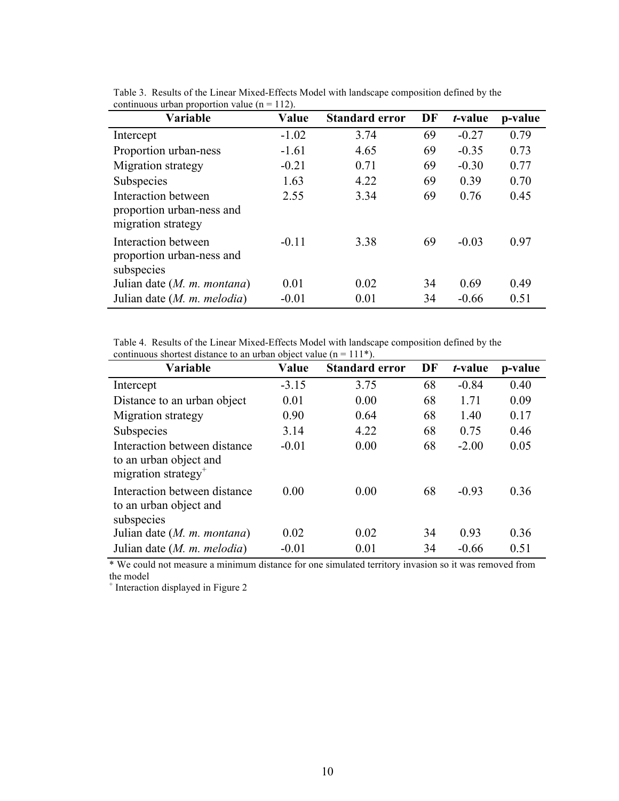| Variable                                                               | Value   | <b>Standard error</b> | DF | <i>t</i> -value | p-value |
|------------------------------------------------------------------------|---------|-----------------------|----|-----------------|---------|
| Intercept                                                              | $-1.02$ | 3.74                  | 69 | $-0.27$         | 0.79    |
| Proportion urban-ness                                                  | $-1.61$ | 4.65                  | 69 | $-0.35$         | 0.73    |
| Migration strategy                                                     | $-0.21$ | 0.71                  | 69 | $-0.30$         | 0.77    |
| Subspecies                                                             | 1.63    | 4.22                  | 69 | 0.39            | 0.70    |
| Interaction between<br>proportion urban-ness and<br>migration strategy | 2.55    | 3.34                  | 69 | 0.76            | 0.45    |
| Interaction between<br>proportion urban-ness and<br>subspecies         | $-0.11$ | 3.38                  | 69 | $-0.03$         | 0.97    |
| Julian date $(M. m. montana)$                                          | 0.01    | 0.02                  | 34 | 0.69            | 0.49    |
| Julian date $(M. m. \, melodia)$                                       | $-0.01$ | 0.01                  | 34 | $-0.66$         | 0.51    |

Table 3. Results of the Linear Mixed-Effects Model with landscape composition defined by the continuous urban proportion value ( $n = 112$ ).

Table 4. Results of the Linear Mixed-Effects Model with landscape composition defined by the continuous shortest distance to an urban object value ( $n = 111$ <sup>\*</sup>).

| Variable                                                                                  | Value   | <b>Standard error</b> | DF | t-value | p-value |
|-------------------------------------------------------------------------------------------|---------|-----------------------|----|---------|---------|
| Intercept                                                                                 | $-3.15$ | 3.75                  | 68 | $-0.84$ | 0.40    |
| Distance to an urban object                                                               | 0.01    | 0.00                  | 68 | 1.71    | 0.09    |
| Migration strategy                                                                        | 0.90    | 0.64                  | 68 | 1.40    | 0.17    |
| Subspecies                                                                                | 3.14    | 4.22                  | 68 | 0.75    | 0.46    |
| Interaction between distance<br>to an urban object and<br>migration strategy <sup>+</sup> | $-0.01$ | 0.00                  | 68 | $-2.00$ | 0.05    |
| Interaction between distance<br>to an urban object and<br>subspecies                      | 0.00    | 0.00                  | 68 | $-0.93$ | 0.36    |
| Julian date $(M. m. montana)$                                                             | 0.02    | 0.02                  | 34 | 0.93    | 0.36    |
| Julian date $(M. m. \, melodia)$                                                          | $-0.01$ | 0.01                  | 34 | $-0.66$ | 0.51    |

\* We could not measure a minimum distance for one simulated territory invasion so it was removed from the model

<sup>+</sup> Interaction displayed in Figure 2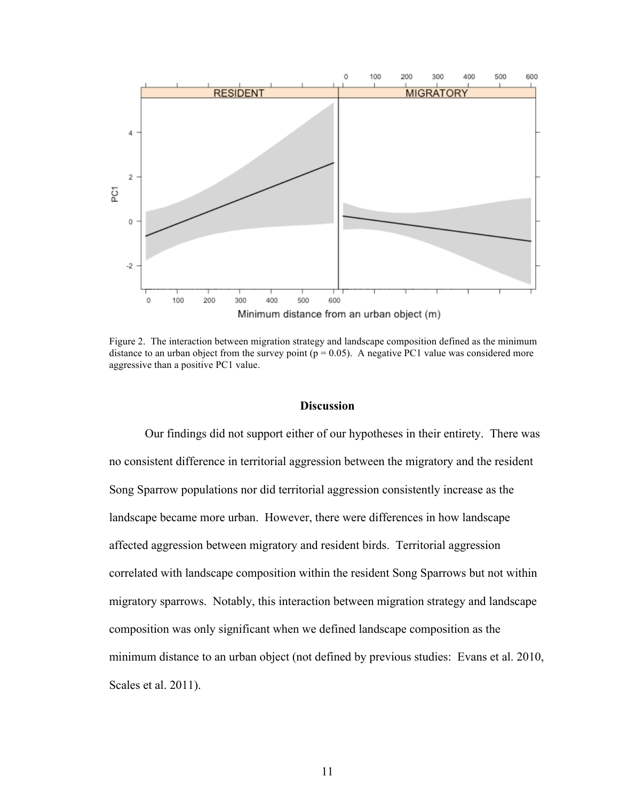

Figure 2. The interaction between migration strategy and landscape composition defined as the minimum distance to an urban object from the survey point ( $p = 0.05$ ). A negative PC1 value was considered more aggressive than a positive PC1 value.

#### **Discussion**

Our findings did not support either of our hypotheses in their entirety. There was no consistent difference in territorial aggression between the migratory and the resident Song Sparrow populations nor did territorial aggression consistently increase as the landscape became more urban. However, there were differences in how landscape affected aggression between migratory and resident birds. Territorial aggression correlated with landscape composition within the resident Song Sparrows but not within migratory sparrows. Notably, this interaction between migration strategy and landscape composition was only significant when we defined landscape composition as the minimum distance to an urban object (not defined by previous studies: Evans et al. 2010, Scales et al. 2011).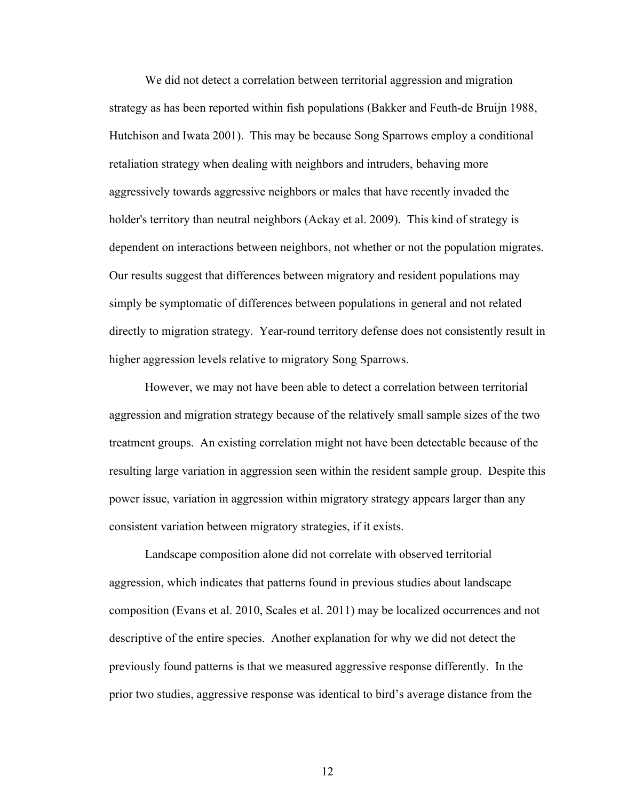We did not detect a correlation between territorial aggression and migration strategy as has been reported within fish populations (Bakker and Feuth-de Bruijn 1988, Hutchison and Iwata 2001). This may be because Song Sparrows employ a conditional retaliation strategy when dealing with neighbors and intruders, behaving more aggressively towards aggressive neighbors or males that have recently invaded the holder's territory than neutral neighbors (Ackay et al. 2009). This kind of strategy is dependent on interactions between neighbors, not whether or not the population migrates. Our results suggest that differences between migratory and resident populations may simply be symptomatic of differences between populations in general and not related directly to migration strategy. Year-round territory defense does not consistently result in higher aggression levels relative to migratory Song Sparrows.

However, we may not have been able to detect a correlation between territorial aggression and migration strategy because of the relatively small sample sizes of the two treatment groups. An existing correlation might not have been detectable because of the resulting large variation in aggression seen within the resident sample group. Despite this power issue, variation in aggression within migratory strategy appears larger than any consistent variation between migratory strategies, if it exists.

Landscape composition alone did not correlate with observed territorial aggression, which indicates that patterns found in previous studies about landscape composition (Evans et al. 2010, Scales et al. 2011) may be localized occurrences and not descriptive of the entire species. Another explanation for why we did not detect the previously found patterns is that we measured aggressive response differently. In the prior two studies, aggressive response was identical to bird's average distance from the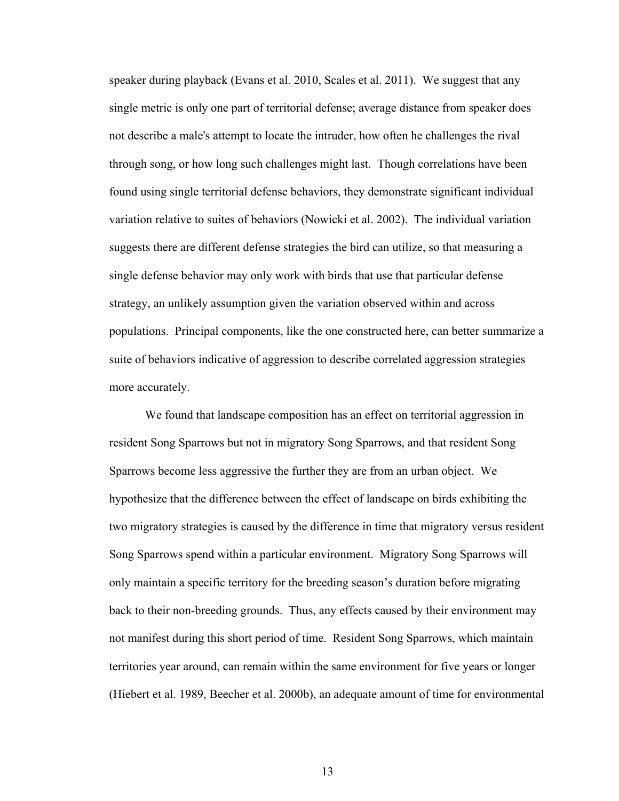speaker during playback (Evans et al. 2010, Scales et al. 2011). We suggest that any single metric is only one part of territorial defense; average distance from speaker does not describe a male's attempt to locate the intruder, how often he challenges the rival through song, or how long such challenges might last. Though correlations have been found using single territorial defense behaviors, they demonstrate significant individual variation relative to suites of behaviors (Nowicki et al. 2002). The individual variation suggests there are different defense strategies the bird can utilize, so that measuring a single defense behavior may only work with birds that use that particular defense strategy, an unlikely assumption given the variation observed within and across populations. Principal components, like the one constructed here, can better summarize a suite of behaviors indicative of aggression to describe correlated aggression strategies more accurately.

We found that landscape composition has an effect on territorial aggression in resident Song Sparrows but not in migratory Song Sparrows, and that resident Song Sparrows become less aggressive the further they are from an urban object. We hypothesize that the difference between the effect of landscape on birds exhibiting the two migratory strategies is caused by the difference in time that migratory versus resident Song Sparrows spend within a particular environment. Migratory Song Sparrows will only maintain a specific territory for the breeding season's duration before migrating back to their non-breeding grounds. Thus, any effects caused by their environment may not manifest during this short period of time. Resident Song Sparrows, which maintain territories year around, can remain within the same environment for five years or longer (Hiebert et al. 1989, Beecher et al. 2000b), an adequate amount of time for environmental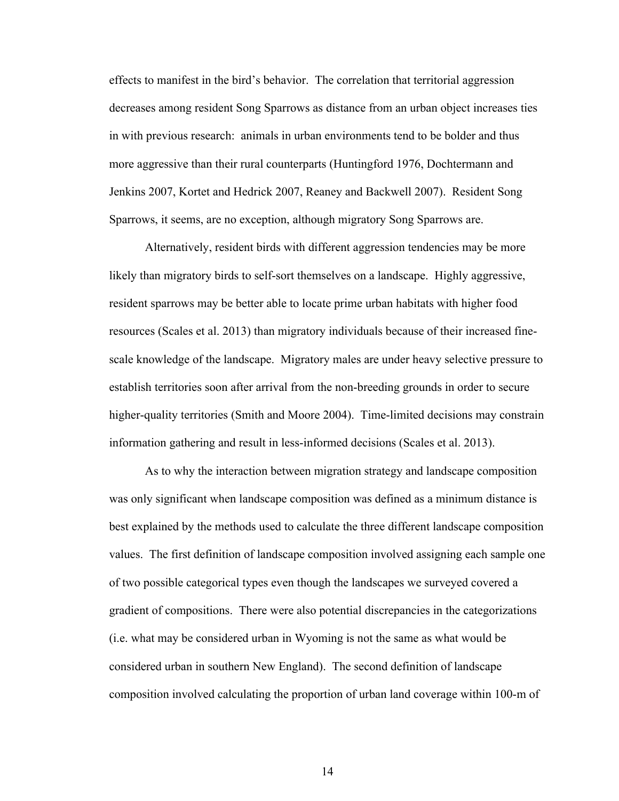effects to manifest in the bird's behavior. The correlation that territorial aggression decreases among resident Song Sparrows as distance from an urban object increases ties in with previous research: animals in urban environments tend to be bolder and thus more aggressive than their rural counterparts (Huntingford 1976, Dochtermann and Jenkins 2007, Kortet and Hedrick 2007, Reaney and Backwell 2007). Resident Song Sparrows, it seems, are no exception, although migratory Song Sparrows are.

Alternatively, resident birds with different aggression tendencies may be more likely than migratory birds to self-sort themselves on a landscape. Highly aggressive, resident sparrows may be better able to locate prime urban habitats with higher food resources (Scales et al. 2013) than migratory individuals because of their increased finescale knowledge of the landscape. Migratory males are under heavy selective pressure to establish territories soon after arrival from the non-breeding grounds in order to secure higher-quality territories (Smith and Moore 2004). Time-limited decisions may constrain information gathering and result in less-informed decisions (Scales et al. 2013).

As to why the interaction between migration strategy and landscape composition was only significant when landscape composition was defined as a minimum distance is best explained by the methods used to calculate the three different landscape composition values. The first definition of landscape composition involved assigning each sample one of two possible categorical types even though the landscapes we surveyed covered a gradient of compositions. There were also potential discrepancies in the categorizations (i.e. what may be considered urban in Wyoming is not the same as what would be considered urban in southern New England). The second definition of landscape composition involved calculating the proportion of urban land coverage within 100-m of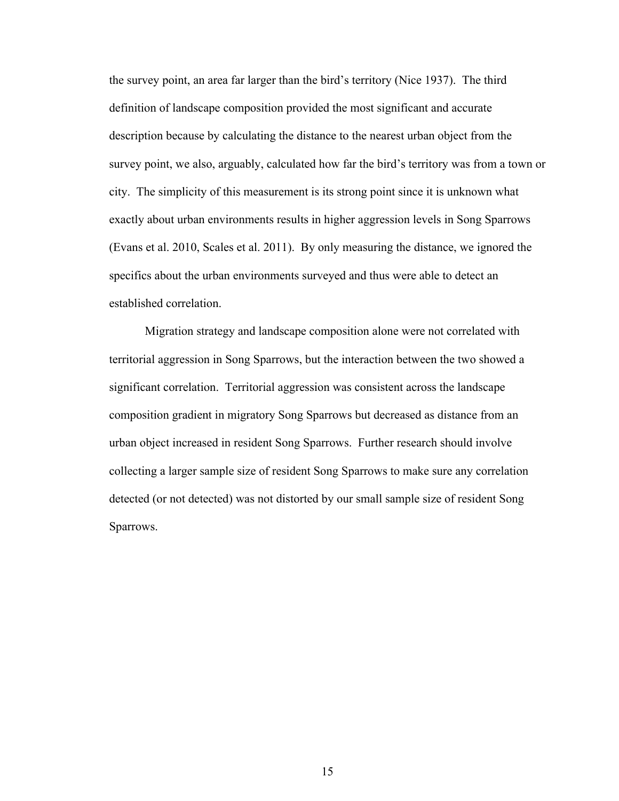the survey point, an area far larger than the bird's territory (Nice 1937). The third definition of landscape composition provided the most significant and accurate description because by calculating the distance to the nearest urban object from the survey point, we also, arguably, calculated how far the bird's territory was from a town or city. The simplicity of this measurement is its strong point since it is unknown what exactly about urban environments results in higher aggression levels in Song Sparrows (Evans et al. 2010, Scales et al. 2011). By only measuring the distance, we ignored the specifics about the urban environments surveyed and thus were able to detect an established correlation.

Migration strategy and landscape composition alone were not correlated with territorial aggression in Song Sparrows, but the interaction between the two showed a significant correlation. Territorial aggression was consistent across the landscape composition gradient in migratory Song Sparrows but decreased as distance from an urban object increased in resident Song Sparrows. Further research should involve collecting a larger sample size of resident Song Sparrows to make sure any correlation detected (or not detected) was not distorted by our small sample size of resident Song Sparrows.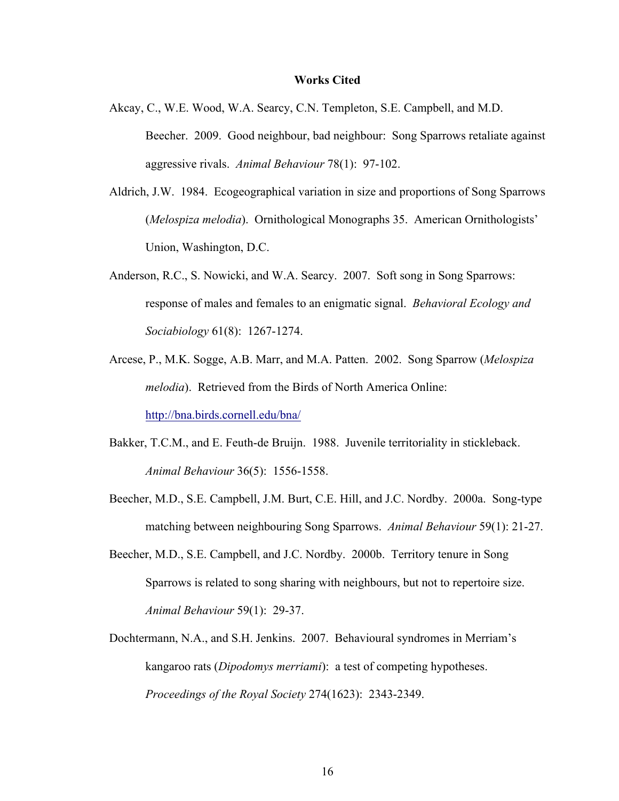#### **Works Cited**

- Akcay, C., W.E. Wood, W.A. Searcy, C.N. Templeton, S.E. Campbell, and M.D. Beecher. 2009. Good neighbour, bad neighbour: Song Sparrows retaliate against aggressive rivals. *Animal Behaviour* 78(1): 97-102.
- Aldrich, J.W. 1984. Ecogeographical variation in size and proportions of Song Sparrows (*Melospiza melodia*). Ornithological Monographs 35. American Ornithologists' Union, Washington, D.C.
- Anderson, R.C., S. Nowicki, and W.A. Searcy. 2007. Soft song in Song Sparrows: response of males and females to an enigmatic signal. *Behavioral Ecology and Sociabiology* 61(8): 1267-1274.
- Arcese, P., M.K. Sogge, A.B. Marr, and M.A. Patten. 2002. Song Sparrow (*Melospiza melodia*). Retrieved from the Birds of North America Online: http://bna.birds.cornell.edu/bna/
- Bakker, T.C.M., and E. Feuth-de Bruijn. 1988. Juvenile territoriality in stickleback. *Animal Behaviour* 36(5): 1556-1558.
- Beecher, M.D., S.E. Campbell, J.M. Burt, C.E. Hill, and J.C. Nordby. 2000a. Song-type matching between neighbouring Song Sparrows. *Animal Behaviour* 59(1): 21-27.
- Beecher, M.D., S.E. Campbell, and J.C. Nordby. 2000b. Territory tenure in Song Sparrows is related to song sharing with neighbours, but not to repertoire size. *Animal Behaviour* 59(1): 29-37.
- Dochtermann, N.A., and S.H. Jenkins. 2007. Behavioural syndromes in Merriam's kangaroo rats (*Dipodomys merriami*): a test of competing hypotheses. *Proceedings of the Royal Society* 274(1623): 2343-2349.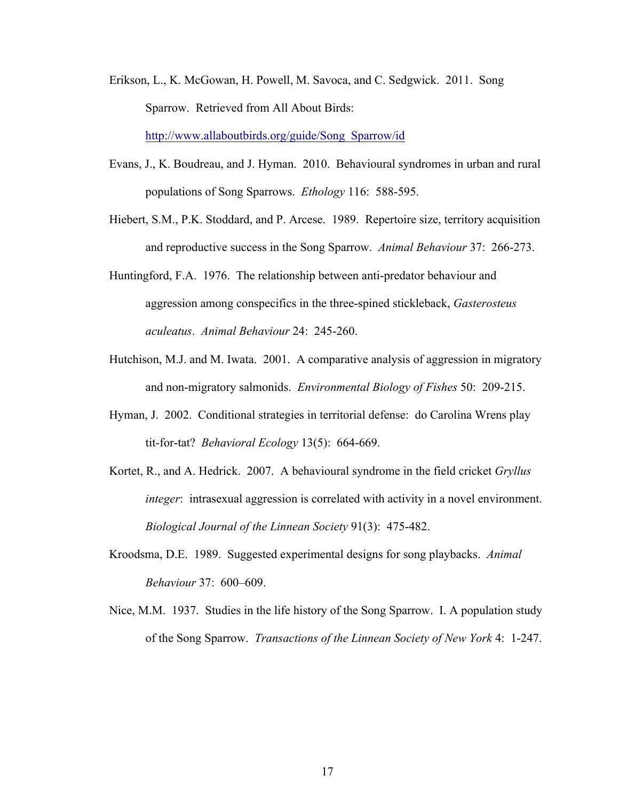Erikson, L., K. McGowan, H. Powell, M. Savoca, and C. Sedgwick. 2011. Song Sparrow. Retrieved from All About Birds: http://www.allaboutbirds.org/guide/Song\_Sparrow/id

Evans, J., K. Boudreau, and J. Hyman. 2010. Behavioural syndromes in urban and rural populations of Song Sparrows. *Ethology* 116: 588-595.

- Hiebert, S.M., P.K. Stoddard, and P. Arcese. 1989. Repertoire size, territory acquisition and reproductive success in the Song Sparrow. *Animal Behaviour* 37: 266-273.
- Huntingford, F.A. 1976. The relationship between anti-predator behaviour and aggression among conspecifics in the three-spined stickleback, *Gasterosteus aculeatus*. *Animal Behaviour* 24: 245-260.
- Hutchison, M.J. and M. Iwata. 2001. A comparative analysis of aggression in migratory and non-migratory salmonids. *Environmental Biology of Fishes* 50: 209-215.
- Hyman, J. 2002. Conditional strategies in territorial defense: do Carolina Wrens play tit-for-tat? *Behavioral Ecology* 13(5): 664-669.
- Kortet, R., and A. Hedrick. 2007. A behavioural syndrome in the field cricket *Gryllus integer*: intrasexual aggression is correlated with activity in a novel environment. *Biological Journal of the Linnean Society* 91(3): 475-482.
- Kroodsma, D.E. 1989. Suggested experimental designs for song playbacks. *Animal Behaviour* 37: 600–609.
- Nice, M.M. 1937. Studies in the life history of the Song Sparrow. I. A population study of the Song Sparrow. *Transactions of the Linnean Society of New York* 4: 1-247.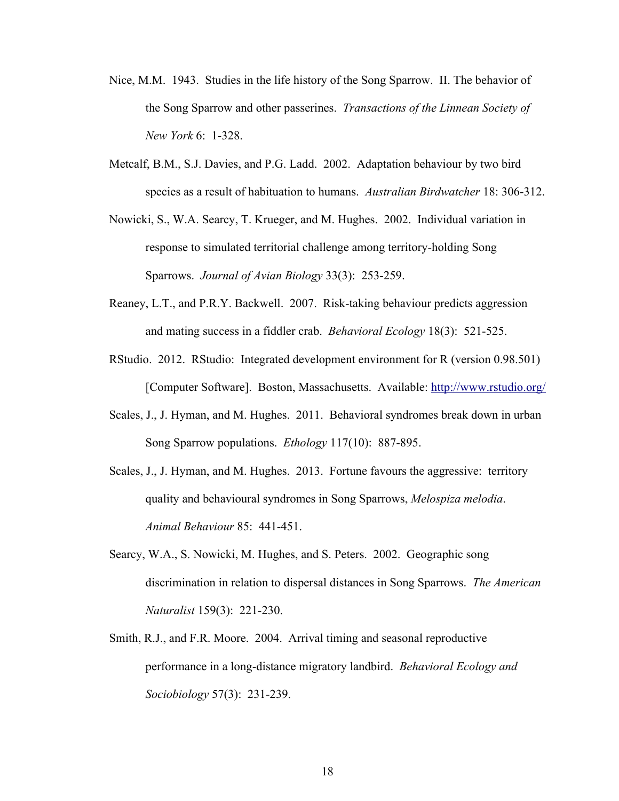- Nice, M.M. 1943. Studies in the life history of the Song Sparrow. II. The behavior of the Song Sparrow and other passerines. *Transactions of the Linnean Society of New York* 6: 1-328.
- Metcalf, B.M., S.J. Davies, and P.G. Ladd. 2002. Adaptation behaviour by two bird species as a result of habituation to humans. *Australian Birdwatcher* 18: 306-312.
- Nowicki, S., W.A. Searcy, T. Krueger, and M. Hughes. 2002. Individual variation in response to simulated territorial challenge among territory-holding Song Sparrows. *Journal of Avian Biology* 33(3): 253-259.
- Reaney, L.T., and P.R.Y. Backwell. 2007. Risk-taking behaviour predicts aggression and mating success in a fiddler crab. *Behavioral Ecology* 18(3): 521-525.
- RStudio. 2012. RStudio: Integrated development environment for R (version 0.98.501) [Computer Software]. Boston, Massachusetts. Available: http://www.rstudio.org/
- Scales, J., J. Hyman, and M. Hughes. 2011. Behavioral syndromes break down in urban Song Sparrow populations. *Ethology* 117(10): 887-895.
- Scales, J., J. Hyman, and M. Hughes. 2013. Fortune favours the aggressive: territory quality and behavioural syndromes in Song Sparrows, *Melospiza melodia*. *Animal Behaviour* 85: 441-451.
- Searcy, W.A., S. Nowicki, M. Hughes, and S. Peters. 2002. Geographic song discrimination in relation to dispersal distances in Song Sparrows. *The American Naturalist* 159(3): 221-230.
- Smith, R.J., and F.R. Moore. 2004. Arrival timing and seasonal reproductive performance in a long-distance migratory landbird. *Behavioral Ecology and Sociobiology* 57(3): 231-239.